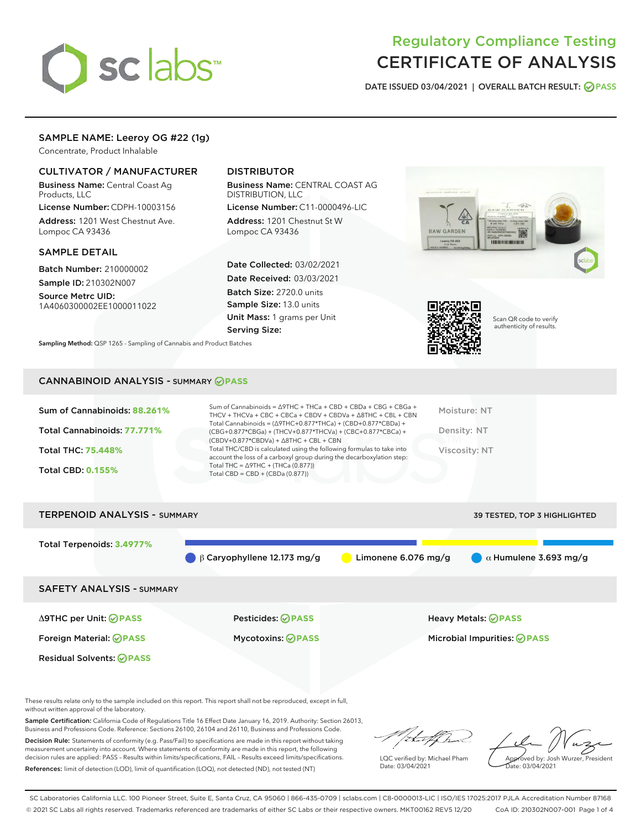# sclabs

# Regulatory Compliance Testing CERTIFICATE OF ANALYSIS

DATE ISSUED 03/04/2021 | OVERALL BATCH RESULT: @ PASS

# SAMPLE NAME: Leeroy OG #22 (1g)

Concentrate, Product Inhalable

# CULTIVATOR / MANUFACTURER

Business Name: Central Coast Ag Products, LLC

License Number: CDPH-10003156 Address: 1201 West Chestnut Ave. Lompoc CA 93436

## SAMPLE DETAIL

Batch Number: 210000002 Sample ID: 210302N007

Source Metrc UID: 1A4060300002EE1000011022

# DISTRIBUTOR

Business Name: CENTRAL COAST AG DISTRIBUTION, LLC

License Number: C11-0000496-LIC Address: 1201 Chestnut St W Lompoc CA 93436

Date Collected: 03/02/2021 Date Received: 03/03/2021 Batch Size: 2720.0 units Sample Size: 13.0 units Unit Mass: 1 grams per Unit Serving Size:







Scan QR code to verify authenticity of results.

# CANNABINOID ANALYSIS - SUMMARY **PASS**

| Sum of Cannabinoids: 88.261%<br>Total Cannabinoids: 77.771%<br><b>Total THC: 75.448%</b><br><b>Total CBD: 0.155%</b> | Sum of Cannabinoids = $\triangle$ 9THC + THCa + CBD + CBDa + CBG + CBGa +<br>THCV + THCVa + CBC + CBCa + CBDV + CBDVa + $\Delta$ 8THC + CBL + CBN<br>Total Cannabinoids = $(\Delta$ 9THC+0.877*THCa) + (CBD+0.877*CBDa) +<br>(CBG+0.877*CBGa) + (THCV+0.877*THCVa) + (CBC+0.877*CBCa) +<br>$(CBDV+0.877*CBDVa) + \Delta 8THC + CBL + CBN$<br>Total THC/CBD is calculated using the following formulas to take into<br>account the loss of a carboxyl group during the decarboxylation step:<br>Total THC = $\triangle$ 9THC + (THCa (0.877))<br>Total CBD = $CBD + (CBDa (0.877))$ | Moisture: NT<br>Density: NT<br>Viscosity: NT |
|----------------------------------------------------------------------------------------------------------------------|------------------------------------------------------------------------------------------------------------------------------------------------------------------------------------------------------------------------------------------------------------------------------------------------------------------------------------------------------------------------------------------------------------------------------------------------------------------------------------------------------------------------------------------------------------------------------------|----------------------------------------------|
| <b>TERPENOID ANALYSIS - SUMMARY</b>                                                                                  |                                                                                                                                                                                                                                                                                                                                                                                                                                                                                                                                                                                    | 39 TESTED. TOP 3 HIGHLIGHTED                 |



These results relate only to the sample included on this report. This report shall not be reproduced, except in full, without written approval of the laboratory.

Sample Certification: California Code of Regulations Title 16 Effect Date January 16, 2019. Authority: Section 26013, Business and Professions Code. Reference: Sections 26100, 26104 and 26110, Business and Professions Code.

Decision Rule: Statements of conformity (e.g. Pass/Fail) to specifications are made in this report without taking measurement uncertainty into account. Where statements of conformity are made in this report, the following decision rules are applied: PASS – Results within limits/specifications, FAIL – Results exceed limits/specifications. References: limit of detection (LOD), limit of quantification (LOQ), not detected (ND), not tested (NT)

that for

LQC verified by: Michael Pham Date: 03/04/2021

Approved by: Josh Wurzer, President ate: 03/04/2021

SC Laboratories California LLC. 100 Pioneer Street, Suite E, Santa Cruz, CA 95060 | 866-435-0709 | sclabs.com | C8-0000013-LIC | ISO/IES 17025:2017 PJLA Accreditation Number 87168 © 2021 SC Labs all rights reserved. Trademarks referenced are trademarks of either SC Labs or their respective owners. MKT00162 REV5 12/20 CoA ID: 210302N007-001 Page 1 of 4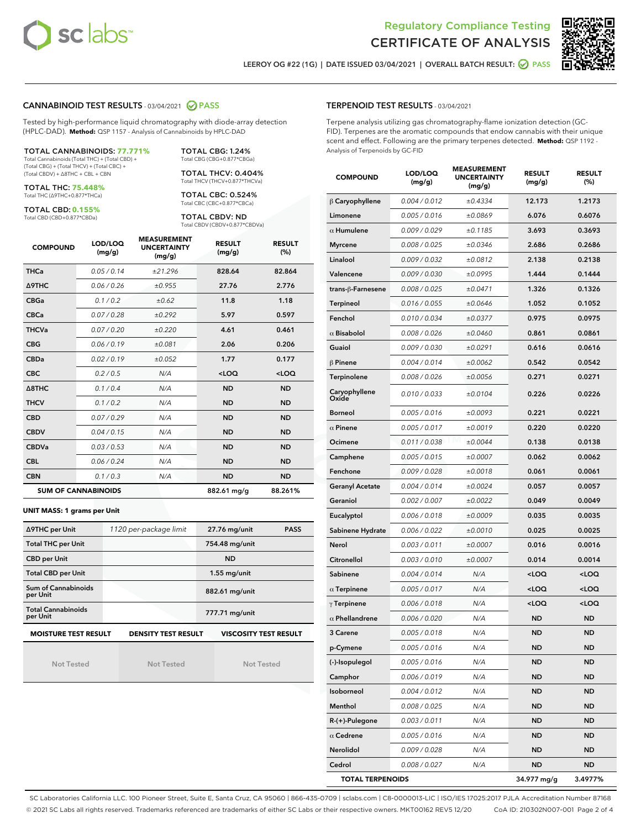



LEEROY OG #22 (1G) | DATE ISSUED 03/04/2021 | OVERALL BATCH RESULT: @ PASS

## CANNABINOID TEST RESULTS - 03/04/2021 2 PASS

Tested by high-performance liquid chromatography with diode-array detection (HPLC-DAD). **Method:** QSP 1157 - Analysis of Cannabinoids by HPLC-DAD

TOTAL CANNABINOIDS: **77.771%** Total Cannabinoids (Total THC) + (Total CBD) + (Total CBG) + (Total THCV) + (Total CBC) +

(Total CBDV) + ∆8THC + CBL + CBN

TOTAL THC: **75.448%** Total THC (∆9THC+0.877\*THCa)

TOTAL CBD: **0.155%**

Total CBD (CBD+0.877\*CBDa)

TOTAL CBG: 1.24% Total CBG (CBG+0.877\*CBGa) TOTAL THCV: 0.404%

Total THCV (THCV+0.877\*THCVa)

TOTAL CBC: 0.524% Total CBC (CBC+0.877\*CBCa)

TOTAL CBDV: ND Total CBDV (CBDV+0.877\*CBDVa)

| <b>COMPOUND</b>            | LOD/LOQ<br>(mg/g) | <b>MEASUREMENT</b><br><b>UNCERTAINTY</b><br>(mg/g) | <b>RESULT</b><br>(mg/g) | <b>RESULT</b><br>(%) |
|----------------------------|-------------------|----------------------------------------------------|-------------------------|----------------------|
| <b>THCa</b>                | 0.05/0.14         | ±21.296                                            | 828.64                  | 82.864               |
| <b>A9THC</b>               | 0.06/0.26         | ±0.955                                             | 27.76                   | 2.776                |
| <b>CBGa</b>                | 0.1 / 0.2         | ±0.62                                              | 11.8                    | 1.18                 |
| <b>CBCa</b>                | 0.07/0.28         | ±0.292                                             | 5.97                    | 0.597                |
| <b>THCVa</b>               | 0.07/0.20         | ±0.220                                             | 4.61                    | 0.461                |
| <b>CBG</b>                 | 0.06/0.19         | ±0.081                                             | 2.06                    | 0.206                |
| <b>CBDa</b>                | 0.02/0.19         | ±0.052                                             | 1.77                    | 0.177                |
| <b>CBC</b>                 | 0.2 / 0.5         | N/A                                                | $<$ LOQ                 | $<$ LOQ              |
| $\triangle$ 8THC           | 0.1/0.4           | N/A                                                | <b>ND</b>               | <b>ND</b>            |
| <b>THCV</b>                | 0.1/0.2           | N/A                                                | <b>ND</b>               | <b>ND</b>            |
| <b>CBD</b>                 | 0.07/0.29         | N/A                                                | <b>ND</b>               | <b>ND</b>            |
| <b>CBDV</b>                | 0.04/0.15         | N/A                                                | <b>ND</b>               | <b>ND</b>            |
| <b>CBDVa</b>               | 0.03 / 0.53       | N/A                                                | <b>ND</b>               | <b>ND</b>            |
| <b>CBL</b>                 | 0.06 / 0.24       | N/A                                                | <b>ND</b>               | <b>ND</b>            |
| <b>CBN</b>                 | 0.1/0.3           | N/A                                                | <b>ND</b>               | <b>ND</b>            |
| <b>SUM OF CANNABINOIDS</b> |                   |                                                    | 882.61 mg/g             | 88.261%              |

#### **UNIT MASS: 1 grams per Unit**

| ∆9THC per Unit                        | 1120 per-package limit     | <b>PASS</b><br>27.76 mg/unit |  |
|---------------------------------------|----------------------------|------------------------------|--|
| <b>Total THC per Unit</b>             |                            | 754.48 mg/unit               |  |
| <b>CBD per Unit</b>                   |                            | <b>ND</b>                    |  |
| <b>Total CBD per Unit</b>             |                            | $1.55$ mg/unit               |  |
| Sum of Cannabinoids<br>per Unit       |                            | 882.61 mg/unit               |  |
| <b>Total Cannabinoids</b><br>per Unit |                            | 777.71 mg/unit               |  |
| <b>MOISTURE TEST RESULT</b>           | <b>DENSITY TEST RESULT</b> | <b>VISCOSITY TEST RESULT</b> |  |

Not Tested

**MOISTURE TEST RESULT**

Not Tested

Not Tested

#### TERPENOID TEST RESULTS - 03/04/2021

Terpene analysis utilizing gas chromatography-flame ionization detection (GC-FID). Terpenes are the aromatic compounds that endow cannabis with their unique scent and effect. Following are the primary terpenes detected. **Method:** QSP 1192 - Analysis of Terpenoids by GC-FID

| <b>COMPOUND</b>         | LOD/LOQ<br>(mg/g) | <b>MEASUREMENT</b><br>UNCERTAINTY<br>(mg/g) | <b>RESULT</b><br>(mg/g)                         | <b>RESULT</b><br>(%) |
|-------------------------|-------------------|---------------------------------------------|-------------------------------------------------|----------------------|
| $\beta$ Caryophyllene   | 0.004 / 0.012     | ±0.4334                                     | 12.173                                          | 1.2173               |
| Limonene                | 0.005 / 0.016     | ±0.0869                                     | 6.076                                           | 0.6076               |
| $\alpha$ Humulene       | 0.009/0.029       | ±0.1185                                     | 3.693                                           | 0.3693               |
| <b>Myrcene</b>          | 0.008 / 0.025     | ±0.0346                                     | 2.686                                           | 0.2686               |
| Linalool                | 0.009 / 0.032     | ±0.0812                                     | 2.138                                           | 0.2138               |
| Valencene               | 0.009 / 0.030     | ±0.0995                                     | 1.444                                           | 0.1444               |
| trans-ß-Farnesene       | 0.008 / 0.025     | ±0.0471                                     | 1.326                                           | 0.1326               |
| Terpineol               | 0.016 / 0.055     | ±0.0646                                     | 1.052                                           | 0.1052               |
| Fenchol                 | 0.010 / 0.034     | ±0.0377                                     | 0.975                                           | 0.0975               |
| $\alpha$ Bisabolol      | 0.008 / 0.026     | ±0.0460                                     | 0.861                                           | 0.0861               |
| Guaiol                  | 0.009 / 0.030     | ±0.0291                                     | 0.616                                           | 0.0616               |
| $\beta$ Pinene          | 0.004 / 0.014     | ±0.0062                                     | 0.542                                           | 0.0542               |
| Terpinolene             | 0.008 / 0.026     | ±0.0056                                     | 0.271                                           | 0.0271               |
| Caryophyllene<br>Oxide  | 0.010 / 0.033     | ±0.0104                                     | 0.226                                           | 0.0226               |
| <b>Borneol</b>          | 0.005 / 0.016     | ±0.0093                                     | 0.221                                           | 0.0221               |
| $\alpha$ Pinene         | 0.005 / 0.017     | ±0.0019                                     | 0.220                                           | 0.0220               |
| Ocimene                 | 0.011 / 0.038     | ±0.0044                                     | 0.138                                           | 0.0138               |
| Camphene                | 0.005 / 0.015     | ±0.0007                                     | 0.062                                           | 0.0062               |
| Fenchone                | 0.009 / 0.028     | ±0.0018                                     | 0.061                                           | 0.0061               |
| <b>Geranyl Acetate</b>  | 0.004 / 0.014     | ±0.0024                                     | 0.057                                           | 0.0057               |
| Geraniol                | 0.002 / 0.007     | ±0.0022                                     | 0.049                                           | 0.0049               |
| Eucalyptol              | 0.006 / 0.018     | ±0.0009                                     | 0.035                                           | 0.0035               |
| Sabinene Hydrate        | 0.006 / 0.022     | ±0.0010                                     | 0.025                                           | 0.0025               |
| Nerol                   | 0.003 / 0.011     | ±0.0007                                     | 0.016                                           | 0.0016               |
| Citronellol             | 0.003 / 0.010     | ±0.0007                                     | 0.014                                           | 0.0014               |
| Sabinene                | 0.004 / 0.014     | N/A                                         | <loq< th=""><th><loq< th=""></loq<></th></loq<> | <loq< th=""></loq<>  |
| $\alpha$ Terpinene      | 0.005 / 0.017     | N/A                                         | $<$ LOQ                                         | <loq< th=""></loq<>  |
| $\gamma$ Terpinene      | 0.006 / 0.018     | N/A                                         | 100                                             | <loq< th=""></loq<>  |
| $\alpha$ Phellandrene   | 0.006 / 0.020     | N/A                                         | ND                                              | ND                   |
| 3 Carene                | 0.005 / 0.018     | N/A                                         | ND                                              | ND                   |
| p-Cymene                | 0.005 / 0.016     | N/A                                         | ND                                              | ND                   |
| (-)-Isopulegol          | 0.005 / 0.016     | N/A                                         | ND                                              | ND                   |
| Camphor                 | 0.006 / 0.019     | N/A                                         | ND                                              | ND                   |
| Isoborneol              | 0.004 / 0.012     | N/A                                         | ND                                              | ND                   |
| Menthol                 | 0.008 / 0.025     | N/A                                         | ND                                              | ND                   |
| R-(+)-Pulegone          | 0.003 / 0.011     | N/A                                         | ND                                              | ND                   |
| $\alpha$ Cedrene        | 0.005 / 0.016     | N/A                                         | ND                                              | ND                   |
| Nerolidol               | 0.009 / 0.028     | N/A                                         | ND                                              | ND                   |
| Cedrol                  | 0.008 / 0.027     | N/A                                         | ND                                              | ND                   |
| <b>TOTAL TERPENOIDS</b> |                   |                                             | 34.977 mg/g                                     | 3.4977%              |

SC Laboratories California LLC. 100 Pioneer Street, Suite E, Santa Cruz, CA 95060 | 866-435-0709 | sclabs.com | C8-0000013-LIC | ISO/IES 17025:2017 PJLA Accreditation Number 87168 © 2021 SC Labs all rights reserved. Trademarks referenced are trademarks of either SC Labs or their respective owners. MKT00162 REV5 12/20 CoA ID: 210302N007-001 Page 2 of 4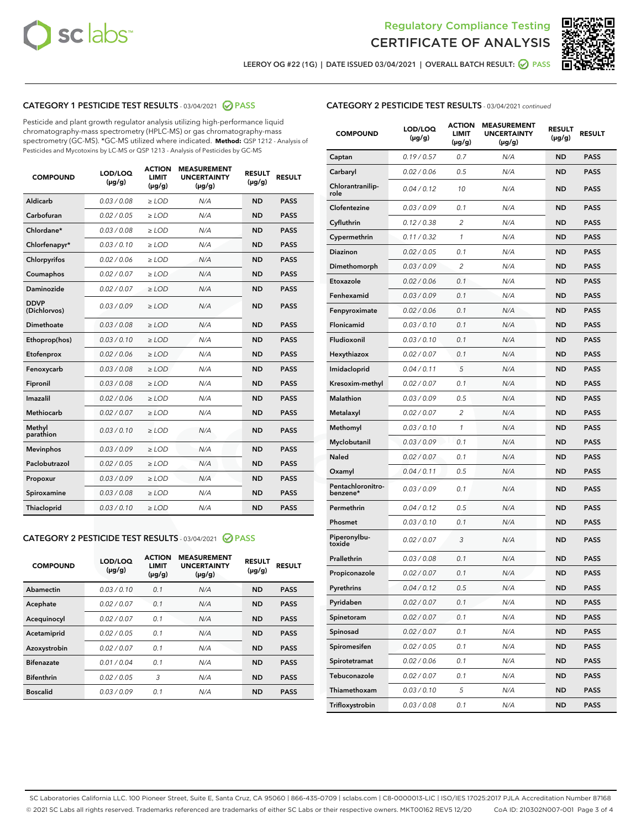



LEEROY OG #22 (1G) | DATE ISSUED 03/04/2021 | OVERALL BATCH RESULT:  $\bigotimes$  PASS

# CATEGORY 1 PESTICIDE TEST RESULTS - 03/04/2021 2 PASS

Pesticide and plant growth regulator analysis utilizing high-performance liquid chromatography-mass spectrometry (HPLC-MS) or gas chromatography-mass spectrometry (GC-MS). \*GC-MS utilized where indicated. **Method:** QSP 1212 - Analysis of Pesticides and Mycotoxins by LC-MS or QSP 1213 - Analysis of Pesticides by GC-MS

| <b>COMPOUND</b>             | LOD/LOQ<br>$(\mu g/g)$ | <b>ACTION</b><br><b>LIMIT</b><br>$(\mu g/g)$ | <b>MEASUREMENT</b><br><b>UNCERTAINTY</b><br>$(\mu g/g)$ | <b>RESULT</b><br>$(\mu g/g)$ | <b>RESULT</b> |
|-----------------------------|------------------------|----------------------------------------------|---------------------------------------------------------|------------------------------|---------------|
| Aldicarb                    | 0.03/0.08              | $>$ LOD                                      | N/A                                                     | <b>ND</b>                    | <b>PASS</b>   |
| Carbofuran                  | 0.02 / 0.05            | $\ge$ LOD                                    | N/A                                                     | <b>ND</b>                    | <b>PASS</b>   |
| Chlordane*                  | 0.03/0.08              | $>$ LOD                                      | N/A                                                     | <b>ND</b>                    | <b>PASS</b>   |
| Chlorfenapyr*               | 0.03/0.10              | $\ge$ LOD                                    | N/A                                                     | <b>ND</b>                    | <b>PASS</b>   |
| Chlorpyrifos                | 0.02 / 0.06            | $\ge$ LOD                                    | N/A                                                     | <b>ND</b>                    | <b>PASS</b>   |
| Coumaphos                   | 0.02 / 0.07            | $\ge$ LOD                                    | N/A                                                     | <b>ND</b>                    | <b>PASS</b>   |
| Daminozide                  | 0.02 / 0.07            | $\ge$ LOD                                    | N/A                                                     | <b>ND</b>                    | <b>PASS</b>   |
| <b>DDVP</b><br>(Dichlorvos) | 0.03/0.09              | $\ge$ LOD                                    | N/A                                                     | <b>ND</b>                    | <b>PASS</b>   |
| <b>Dimethoate</b>           | 0.03 / 0.08            | $\ge$ LOD                                    | N/A                                                     | <b>ND</b>                    | <b>PASS</b>   |
| Ethoprop(hos)               | 0.03/0.10              | $\ge$ LOD                                    | N/A                                                     | <b>ND</b>                    | <b>PASS</b>   |
| Etofenprox                  | 0.02 / 0.06            | $\ge$ LOD                                    | N/A                                                     | <b>ND</b>                    | <b>PASS</b>   |
| Fenoxycarb                  | 0.03 / 0.08            | $\ge$ LOD                                    | N/A                                                     | <b>ND</b>                    | <b>PASS</b>   |
| Fipronil                    | 0.03/0.08              | $>$ LOD                                      | N/A                                                     | <b>ND</b>                    | <b>PASS</b>   |
| Imazalil                    | 0.02 / 0.06            | $\ge$ LOD                                    | N/A                                                     | <b>ND</b>                    | <b>PASS</b>   |
| Methiocarb                  | 0.02 / 0.07            | $\ge$ LOD                                    | N/A                                                     | <b>ND</b>                    | <b>PASS</b>   |
| Methyl<br>parathion         | 0.03/0.10              | $\ge$ LOD                                    | N/A                                                     | <b>ND</b>                    | <b>PASS</b>   |
| <b>Mevinphos</b>            | 0.03/0.09              | $\ge$ LOD                                    | N/A                                                     | <b>ND</b>                    | <b>PASS</b>   |
| Paclobutrazol               | 0.02 / 0.05            | $>$ LOD                                      | N/A                                                     | <b>ND</b>                    | <b>PASS</b>   |
| Propoxur                    | 0.03/0.09              | $\ge$ LOD                                    | N/A                                                     | <b>ND</b>                    | <b>PASS</b>   |
| Spiroxamine                 | 0.03 / 0.08            | $\ge$ LOD                                    | N/A                                                     | <b>ND</b>                    | <b>PASS</b>   |
| Thiacloprid                 | 0.03/0.10              | $\ge$ LOD                                    | N/A                                                     | <b>ND</b>                    | <b>PASS</b>   |

#### CATEGORY 2 PESTICIDE TEST RESULTS - 03/04/2021 @ PASS

| <b>COMPOUND</b>   | LOD/LOQ<br>$(\mu g/g)$ | <b>ACTION</b><br><b>LIMIT</b><br>$(\mu g/g)$ | <b>MEASUREMENT</b><br><b>UNCERTAINTY</b><br>$(\mu g/g)$ | <b>RESULT</b><br>$(\mu g/g)$ | <b>RESULT</b> |
|-------------------|------------------------|----------------------------------------------|---------------------------------------------------------|------------------------------|---------------|
| Abamectin         | 0.03/0.10              | 0.1                                          | N/A                                                     | <b>ND</b>                    | <b>PASS</b>   |
| Acephate          | 0.02/0.07              | 0.1                                          | N/A                                                     | <b>ND</b>                    | <b>PASS</b>   |
| Acequinocyl       | 0.02/0.07              | 0.1                                          | N/A                                                     | <b>ND</b>                    | <b>PASS</b>   |
| Acetamiprid       | 0.02/0.05              | 0.1                                          | N/A                                                     | <b>ND</b>                    | <b>PASS</b>   |
| Azoxystrobin      | 0.02/0.07              | 0.1                                          | N/A                                                     | <b>ND</b>                    | <b>PASS</b>   |
| <b>Bifenazate</b> | 0.01/0.04              | 0.1                                          | N/A                                                     | <b>ND</b>                    | <b>PASS</b>   |
| <b>Bifenthrin</b> | 0.02/0.05              | 3                                            | N/A                                                     | <b>ND</b>                    | <b>PASS</b>   |
| <b>Boscalid</b>   | 0.03/0.09              | 0.1                                          | N/A                                                     | <b>ND</b>                    | <b>PASS</b>   |

# CATEGORY 2 PESTICIDE TEST RESULTS - 03/04/2021 continued

| <b>COMPOUND</b>               | <b>LOD/LOQ</b><br>$(\mu g/g)$ | <b>ACTION</b><br><b>LIMIT</b><br>(µg/g) | <b>MEASUREMENT</b><br><b>UNCERTAINTY</b><br>(µg/g) | <b>RESULT</b><br>(µg/g) | <b>RESULT</b> |
|-------------------------------|-------------------------------|-----------------------------------------|----------------------------------------------------|-------------------------|---------------|
| Captan                        | 0.19/0.57                     | 0.7                                     | N/A                                                | ND                      | <b>PASS</b>   |
| Carbaryl                      | 0.02 / 0.06                   | 0.5                                     | N/A                                                | ND                      | <b>PASS</b>   |
| Chlorantranilip-<br>role      | 0.04 / 0.12                   | 10                                      | N/A                                                | ND                      | <b>PASS</b>   |
| Clofentezine                  | 0.03/0.09                     | 0.1                                     | N/A                                                | <b>ND</b>               | <b>PASS</b>   |
| Cyfluthrin                    | 0.12 / 0.38                   | $\overline{2}$                          | N/A                                                | ND                      | <b>PASS</b>   |
| Cypermethrin                  | 0.11 / 0.32                   | $\mathbf{1}$                            | N/A                                                | ND                      | <b>PASS</b>   |
| <b>Diazinon</b>               | 0.02 / 0.05                   | 0.1                                     | N/A                                                | ND                      | <b>PASS</b>   |
| Dimethomorph                  | 0.03 / 0.09                   | 2                                       | N/A                                                | ND                      | <b>PASS</b>   |
| Etoxazole                     | 0.02 / 0.06                   | 0.1                                     | N/A                                                | ND                      | <b>PASS</b>   |
| Fenhexamid                    | 0.03 / 0.09                   | 0.1                                     | N/A                                                | ND                      | <b>PASS</b>   |
| Fenpyroximate                 | 0.02 / 0.06                   | 0.1                                     | N/A                                                | ND                      | <b>PASS</b>   |
| Flonicamid                    | 0.03 / 0.10                   | 0.1                                     | N/A                                                | ND                      | <b>PASS</b>   |
| Fludioxonil                   | 0.03/0.10                     | 0.1                                     | N/A                                                | ND                      | <b>PASS</b>   |
| Hexythiazox                   | 0.02 / 0.07                   | 0.1                                     | N/A                                                | ND                      | <b>PASS</b>   |
| Imidacloprid                  | 0.04 / 0.11                   | 5                                       | N/A                                                | ND                      | <b>PASS</b>   |
| Kresoxim-methyl               | 0.02 / 0.07                   | 0.1                                     | N/A                                                | ND                      | <b>PASS</b>   |
| <b>Malathion</b>              | 0.03 / 0.09                   | 0.5                                     | N/A                                                | ND                      | <b>PASS</b>   |
| Metalaxyl                     | 0.02 / 0.07                   | 2                                       | N/A                                                | ND                      | <b>PASS</b>   |
| Methomyl                      | 0.03 / 0.10                   | 1                                       | N/A                                                | ND                      | <b>PASS</b>   |
| Myclobutanil                  | 0.03 / 0.09                   | 0.1                                     | N/A                                                | ND                      | <b>PASS</b>   |
| Naled                         | 0.02 / 0.07                   | 0.1                                     | N/A                                                | ND                      | <b>PASS</b>   |
| Oxamyl                        | 0.04 / 0.11                   | 0.5                                     | N/A                                                | ND                      | <b>PASS</b>   |
| Pentachloronitro-<br>benzene* | 0.03 / 0.09                   | 0.1                                     | N/A                                                | ND                      | PASS          |
| Permethrin                    | 0.04 / 0.12                   | 0.5                                     | N/A                                                | ND                      | <b>PASS</b>   |
| Phosmet                       | 0.03 / 0.10                   | 0.1                                     | N/A                                                | ND                      | <b>PASS</b>   |
| Piperonylbu-<br>toxide        | 0.02 / 0.07                   | 3                                       | N/A                                                | ND                      | <b>PASS</b>   |
| Prallethrin                   | 0.03 / 0.08                   | 0.1                                     | N/A                                                | ND                      | <b>PASS</b>   |
| Propiconazole                 | 0.02 / 0.07                   | 0.1                                     | N/A                                                | ND                      | <b>PASS</b>   |
| Pyrethrins                    | 0.04 / 0.12                   | 0.5                                     | N/A                                                | ND                      | PASS          |
| Pyridaben                     | 0.02 / 0.07                   | 0.1                                     | N/A                                                | ND                      | PASS          |
| Spinetoram                    | 0.02 / 0.07                   | 0.1                                     | N/A                                                | ND                      | <b>PASS</b>   |
| Spinosad                      | 0.02 / 0.07                   | 0.1                                     | N/A                                                | ND                      | <b>PASS</b>   |
| Spiromesifen                  | 0.02 / 0.05                   | 0.1                                     | N/A                                                | <b>ND</b>               | <b>PASS</b>   |
| Spirotetramat                 | 0.02 / 0.06                   | 0.1                                     | N/A                                                | <b>ND</b>               | <b>PASS</b>   |
| Tebuconazole                  | 0.02 / 0.07                   | 0.1                                     | N/A                                                | ND                      | <b>PASS</b>   |
| Thiamethoxam                  | 0.03 / 0.10                   | 5                                       | N/A                                                | ND                      | <b>PASS</b>   |
| Trifloxystrobin               | 0.03 / 0.08                   | 0.1                                     | N/A                                                | <b>ND</b>               | <b>PASS</b>   |